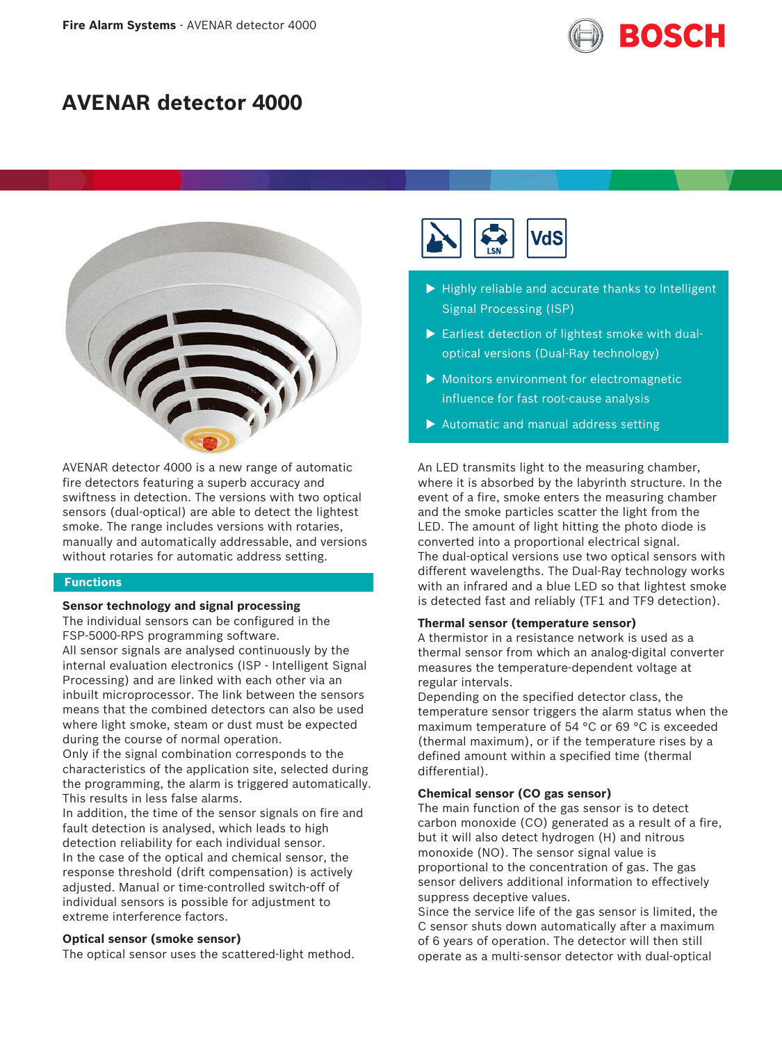

# **AVENAR detector 4000**



AVENAR detector 4000 is a new range of automatic fire detectors featuring a superb accuracy and swiftness in detection. The versions with two optical sensors (dual-optical) are able to detect the lightest smoke. The range includes versions with rotaries, manually and automatically addressable, and versions without rotaries for automatic address setting.

# **Functions**

# **Sensor technology and signal processing**

The individual sensors can be configured in the FSP-5000-RPS programming software.

All sensor signals are analysed continuously by the internal evaluation electronics (ISP - Intelligent Signal Processing) and are linked with each other via an inbuilt microprocessor. The link between the sensors means that the combined detectors can also be used where light smoke, steam or dust must be expected during the course of normal operation.

Only if the signal combination corresponds to the characteristics of the application site, selected during the programming, the alarm is triggered automatically. This results in less false alarms.

In addition, the time of the sensor signals on fire and fault detection is analysed, which leads to high detection reliability for each individual sensor. In the case of the optical and chemical sensor, the response threshold (drift compensation) is actively adjusted. Manual or time-controlled switch-off of individual sensors is possible for adjustment to extreme interference factors.

# **Optical sensor (smoke sensor)**

The optical sensor uses the scattered-light method.



- $\blacktriangleright$  Highly reliable and accurate thanks to Intelligent Signal Processing (ISP)
- $\triangleright$  Earliest detection of lightest smoke with dualoptical versions (Dual-Ray technology)
- $\blacktriangleright$  Monitors environment for electromagnetic influence for fast root-cause analysis
- $\blacktriangleright$  Automatic and manual address setting

An LED transmits light to the measuring chamber, where it is absorbed by the labyrinth structure. In the event of a fire, smoke enters the measuring chamber and the smoke particles scatter the light from the LED. The amount of light hitting the photo diode is converted into a proportional electrical signal. The dual-optical versions use two optical sensors with different wavelengths. The Dual-Ray technology works with an infrared and a blue LED so that lightest smoke is detected fast and reliably (TF1 and TF9 detection).

# **Thermal sensor (temperature sensor)**

A thermistor in a resistance network is used as a thermal sensor from which an analog-digital converter measures the temperature-dependent voltage at regular intervals.

Depending on the specified detector class, the temperature sensor triggers the alarm status when the maximum temperature of 54 °C or 69 °C is exceeded (thermal maximum), or if the temperature rises by a defined amount within a specified time (thermal differential).

# **Chemical sensor (CO gas sensor)**

The main function of the gas sensor is to detect carbon monoxide (CO) generated as a result of a fire, but it will also detect hydrogen (H) and nitrous monoxide (NO). The sensor signal value is proportional to the concentration of gas. The gas sensor delivers additional information to effectively suppress deceptive values.

Since the service life of the gas sensor is limited, the C sensor shuts down automatically after a maximum of 6 years of operation. The detector will then still operate as a multi-sensor detector with dual-optical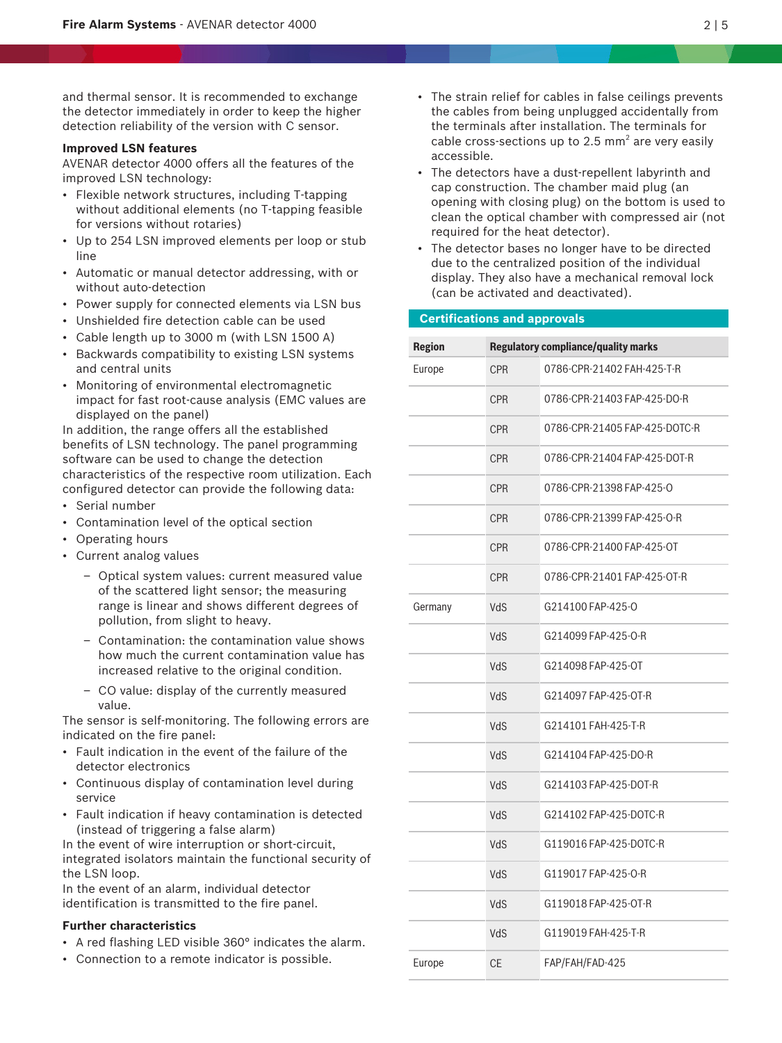and thermal sensor. It is recommended to exchange the detector immediately in order to keep the higher detection reliability of the version with C sensor.

# **Improved LSN features**

AVENAR detector 4000 offers all the features of the improved LSN technology:

- Flexible network structures, including T-tapping without additional elements (no T-tapping feasible for versions without rotaries)
- Up to 254 LSN improved elements per loop or stub line
- Automatic or manual detector addressing, with or without auto-detection
- Power supply for connected elements via LSN bus
- Unshielded fire detection cable can be used
- Cable length up to 3000 m (with LSN 1500 A)
- Backwards compatibility to existing LSN systems and central units
- Monitoring of environmental electromagnetic impact for fast root-cause analysis (EMC values are displayed on the panel)

In addition, the range offers all the established benefits of LSN technology. The panel programming software can be used to change the detection characteristics of the respective room utilization. Each configured detector can provide the following data:

- Serial number
- Contamination level of the optical section
- Operating hours
- Current analog values
	- Optical system values: current measured value of the scattered light sensor; the measuring range is linear and shows different degrees of pollution, from slight to heavy.
	- Contamination: the contamination value shows how much the current contamination value has increased relative to the original condition.
	- CO value: display of the currently measured value.

The sensor is self-monitoring. The following errors are indicated on the fire panel:

- Fault indication in the event of the failure of the detector electronics
- Continuous display of contamination level during service
- Fault indication if heavy contamination is detected (instead of triggering a false alarm)

In the event of wire interruption or short-circuit, integrated isolators maintain the functional security of the LSN loop.

In the event of an alarm, individual detector identification is transmitted to the fire panel.

# **Further characteristics**

- A red flashing LED visible 360° indicates the alarm.
- Connection to a remote indicator is possible.
- The strain relief for cables in false ceilings prevents the cables from being unplugged accidentally from the terminals after installation. The terminals for cable cross-sections up to 2.5  $mm<sup>2</sup>$  are very easily accessible.
- The detectors have a dust-repellent labyrinth and cap construction. The chamber maid plug (an opening with closing plug) on the bottom is used to clean the optical chamber with compressed air (not required for the heat detector).
- The detector bases no longer have to be directed due to the centralized position of the individual display. They also have a mechanical removal lock (can be activated and deactivated).

# **Certifications and approvals**

| <b>Region</b> | <b>Regulatory compliance/quality marks</b> |                               |
|---------------|--------------------------------------------|-------------------------------|
| Europe        | <b>CPR</b>                                 | 0786-CPR-21402 FAH-425-T-R    |
|               | <b>CPR</b>                                 | 0786-CPR-21403 FAP-425-DO-R   |
|               | <b>CPR</b>                                 | 0786-CPR-21405 FAP-425-DOTC-R |
|               | <b>CPR</b>                                 | 0786-CPR-21404 FAP-425-DOT-R  |
|               | <b>CPR</b>                                 | 0786-CPR-21398 FAP-425-0      |
|               | <b>CPR</b>                                 | 0786-CPR-21399 FAP-425-O-R    |
|               | <b>CPR</b>                                 | 0786-CPR-21400 FAP-425-OT     |
|               | <b>CPR</b>                                 | 0786-CPR-21401 FAP-425-OT-R   |
| Germany       | VdS                                        | G214100 FAP-425-0             |
|               | VdS                                        | G214099 FAP-425-O-R           |
|               | VdS                                        | G214098 FAP-425-OT            |
|               | VdS                                        | G214097 FAP-425-OT-R          |
|               | VdS                                        | G214101 FAH-425-T-R           |
|               | VdS                                        | G214104 FAP-425-DO-R          |
|               | VdS                                        | G214103 FAP-425-DOT-R         |
|               | VdS                                        | G214102 FAP-425-DOTC-R        |
|               | VdS                                        | G119016 FAP-425-DOTC-R        |
|               | VdS                                        | G119017 FAP-425-O-R           |
|               | VdS                                        | G119018 FAP-425-OT-R          |
|               | VdS                                        | G119019 FAH-425-T-R           |
| Europe        | <b>CE</b>                                  | FAP/FAH/FAD-425               |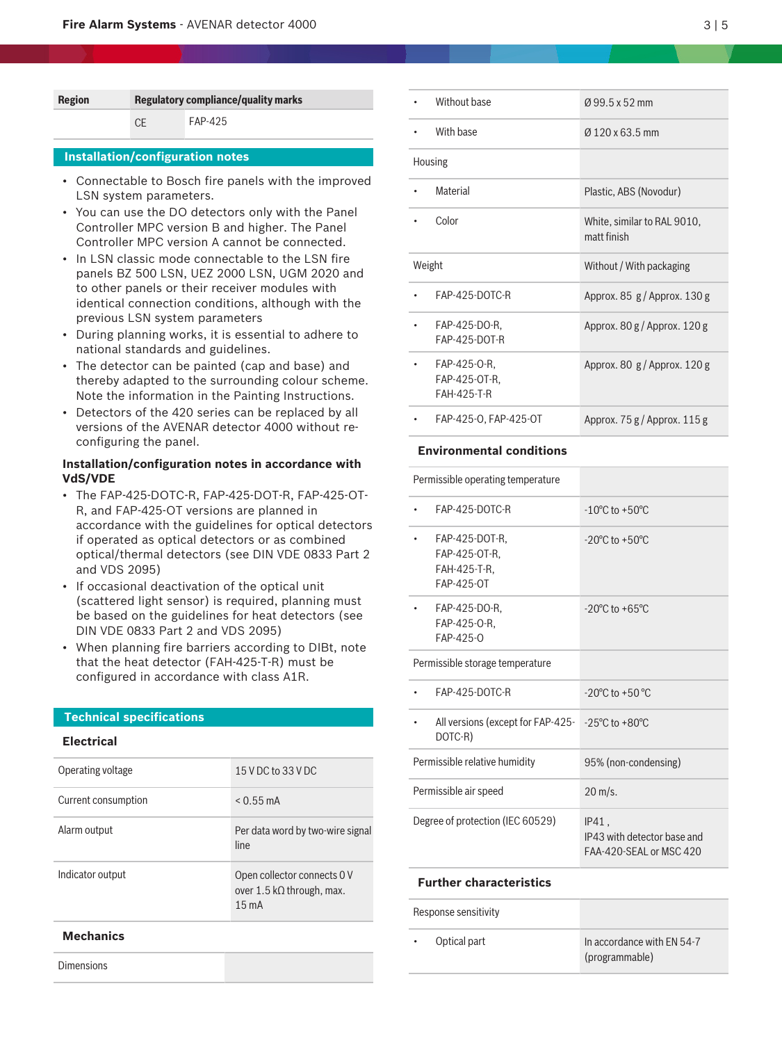| <b>Regulatory compliance/quality marks</b> |  |
|--------------------------------------------|--|
| FAP-425                                    |  |
|                                            |  |

# **Installation/configuration notes**

- Connectable to Bosch fire panels with the improved LSN system parameters.
- You can use the DO detectors only with the Panel Controller MPC version B and higher. The Panel Controller MPC version A cannot be connected.
- In LSN classic mode connectable to the LSN fire panels BZ 500 LSN, UEZ 2000 LSN, UGM 2020 and to other panels or their receiver modules with identical connection conditions, although with the previous LSN system parameters
- During planning works, it is essential to adhere to national standards and guidelines.
- The detector can be painted (cap and base) and thereby adapted to the surrounding colour scheme. Note the information in the Painting Instructions.
- Detectors of the 420 series can be replaced by all versions of the AVENAR detector 4000 without reconfiguring the panel.

# **Installation/configuration notes in accordance with VdS/VDE**

- The FAP‑425-DOTC-R, FAP‑425-DOT-R, FAP‑425-OT-R, and FAP‑425-OT versions are planned in accordance with the guidelines for optical detectors if operated as optical detectors or as combined optical/thermal detectors (see DIN VDE 0833 Part 2 and VDS 2095)
- If occasional deactivation of the optical unit (scattered light sensor) is required, planning must be based on the guidelines for heat detectors (see DIN VDE 0833 Part 2 and VDS 2095)
- When planning fire barriers according to DIBt, note that the heat detector (FAH-425-T-R) must be configured in accordance with class A1R.

# **Technical specifications**

# **Electrical**

| Operating voltage   | 15 V DC to 33 V DC                                                  |
|---------------------|---------------------------------------------------------------------|
| Current consumption | $< 0.55$ mA                                                         |
| Alarm output        | Per data word by two-wire signal<br>line                            |
| Indicator output    | Open collector connects 0 V<br>over 1.5 kΩ through, max.<br>$15m$ A |
| <b>Mechanics</b>    |                                                                     |

Dimensions

|         | Without base                                 | Ø99.5 x 52 mm                                |
|---------|----------------------------------------------|----------------------------------------------|
|         | With base                                    | $0.120 \times 63.5$ mm                       |
| Housing |                                              |                                              |
|         | Material                                     | Plastic, ABS (Novodur)                       |
|         | Color                                        | White, similar to RAL 9010,<br>matt finish   |
| Weight  |                                              | Without / With packaging                     |
|         | FAP-425-DOTC-R                               | Approx. $85 \frac{g}{\text{approx}}$ . 130 g |
|         | FAP-425-DO-R,<br>FAP-425-DOT-R               | Approx. $80 g/A$ pprox. 120 g                |
|         | FAP-425-0-R,<br>FAP-425-OT-R.<br>FAH-425-T-R | Approx. 80 g / Approx. 120 g                 |
|         | FAP-425-0, FAP-425-0T                        | Approx. $75 g/A$ pprox. $115 g$              |

# **Environmental conditions**

| Permissible operating temperature                                                |                                                                 |
|----------------------------------------------------------------------------------|-----------------------------------------------------------------|
| FAP-425-DOTC-R                                                                   | $-10^{\circ}$ C to $+50^{\circ}$ C                              |
| FAP-425-DOT-R,<br>FAP-425-OT-R.<br>FAH-425-T-R.<br>FAP-425-0T                    | $-20^{\circ}$ C to $+50^{\circ}$ C                              |
| FAP-425-DO-R,<br>FAP-425-0-R.<br>$FAP-425-0$                                     | $-20^{\circ}$ C to $+65^{\circ}$ C                              |
| Permissible storage temperature                                                  |                                                                 |
| FAP-425-DOTC-R                                                                   | $-20^{\circ}$ C to $+50^{\circ}$ C                              |
| All versions (except for FAP-425- $-25^{\circ}$ C to +80 $^{\circ}$ C<br>DOTC-R) |                                                                 |
| Permissible relative humidity                                                    | 95% (non-condensing)                                            |
| Permissible air speed                                                            | $20 \text{ m/s}$ .                                              |
| Degree of protection (IEC 60529)                                                 | IP41.<br>IP43 with detector base and<br>FAA-420-SFAL or MSC 420 |

# **Further characteristics**

|           | Response sensitivity |                                              |
|-----------|----------------------|----------------------------------------------|
| $\bullet$ | Optical part         | In accordance with EN 54-7<br>(programmable) |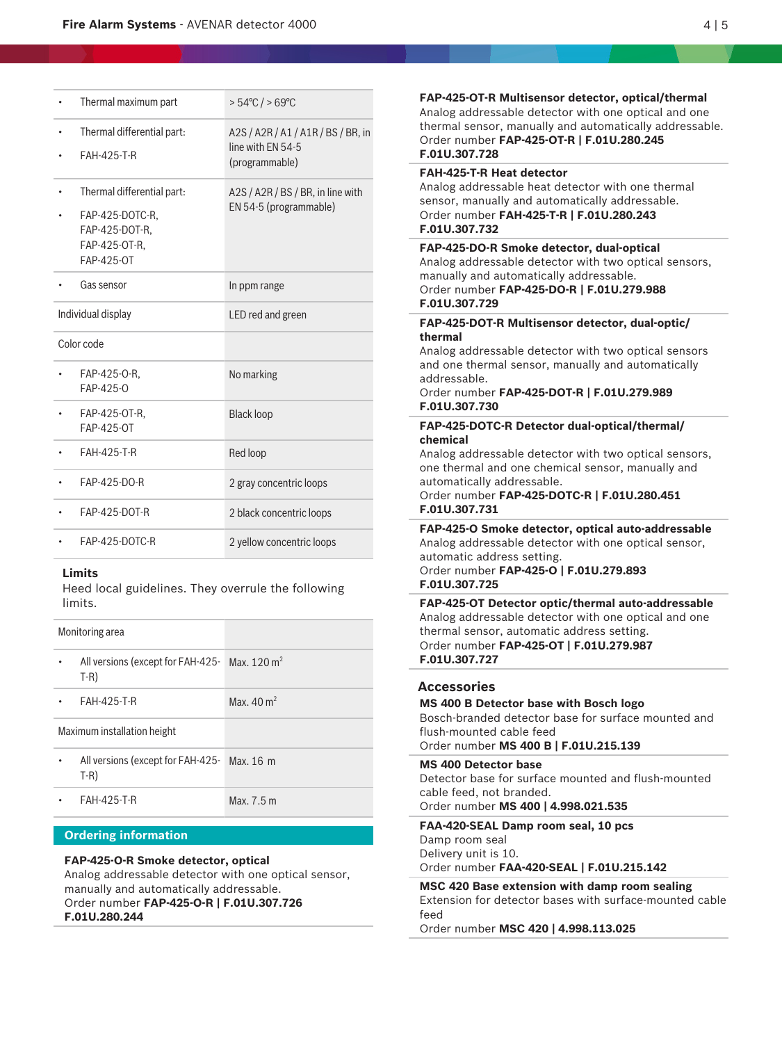| Thermal maximum part              | $>54^{\circ}$ C / $>69^{\circ}$ C                           |
|-----------------------------------|-------------------------------------------------------------|
| Thermal differential part:        | A2S / A2R / A1 / A1R / BS / BR, in<br>line with EN 54-5     |
| <b>FAH-425-T-R</b>                | (programmable)                                              |
| Thermal differential part:        | A2S / A2R / BS / BR, in line with<br>EN 54-5 (programmable) |
| FAP-425-DOTC-R,<br>FAP-425-DOT-R. |                                                             |
| FAP-425-OT-R,                     |                                                             |
| FAP-425-OT                        |                                                             |
| Gas sensor                        | In ppm range                                                |
| Individual display                | LED red and green                                           |
| Color code                        |                                                             |
| FAP-425-0-R,<br>FAP-425-0         | No marking                                                  |
| FAP-425-OT-R.<br>FAP-425-OT       | <b>Black loop</b>                                           |
| <b>FAH-425-T-R</b>                | Red loop                                                    |
| FAP-425-DO-R                      | 2 gray concentric loops                                     |
| FAP-425-DOT-R                     | 2 black concentric loops                                    |
| FAP-425-DOTC-R                    | 2 yellow concentric loops                                   |

# **Limits**

Heed local guidelines. They overrule the following limits.

| Monitoring area                                                   |                      |
|-------------------------------------------------------------------|----------------------|
| All versions (except for FAH-425-Max. 120 m <sup>2</sup><br>$T-R$ |                      |
| FAH-425-T-R                                                       | Max $40 \text{ m}^2$ |
| Maximum installation height                                       |                      |
| All versions (except for FAH-425-<br>$T-R$                        | Max. 16 m            |
| FAH-425-T-R                                                       | Max. 7.5 m           |

# **Ordering information**

# **FAP-425-O-R Smoke detector, optical**

Analog addressable detector with one optical sensor, manually and automatically addressable. Order number **FAP-425-O-R | F.01U.307.726 F.01U.280.244**

thermal sensor, manually and automatically addressable. Order number **FAP-425-OT-R | F.01U.280.245 F.01U.307.728 FAH-425-T-R Heat detector** Analog addressable heat detector with one thermal sensor, manually and automatically addressable. Order number **FAH-425-T-R | F.01U.280.243 F.01U.307.732 FAP-425-DO-R Smoke detector, dual-optical** Analog addressable detector with two optical sensors, manually and automatically addressable.

**FAP-425-OT-R Multisensor detector, optical/thermal** Analog addressable detector with one optical and one

Order number **FAP-425-DO-R | F.01U.279.988 F.01U.307.729**

# **FAP-425-DOT-R Multisensor detector, dual-optic/ thermal**

Analog addressable detector with two optical sensors and one thermal sensor, manually and automatically addressable.

# Order number **FAP-425-DOT-R | F.01U.279.989 F.01U.307.730**

# **FAP-425-DOTC-R Detector dual-optical/thermal/ chemical**

Analog addressable detector with two optical sensors, one thermal and one chemical sensor, manually and automatically addressable.

# Order number **FAP-425-DOTC-R | F.01U.280.451 F.01U.307.731**

**FAP-425-O Smoke detector, optical auto-addressable** Analog addressable detector with one optical sensor, automatic address setting.

# Order number **FAP-425-O | F.01U.279.893 F.01U.307.725**

**FAP-425-OT Detector optic/thermal auto-addressable** Analog addressable detector with one optical and one thermal sensor, automatic address setting. Order number **FAP-425-OT | F.01U.279.987 F.01U.307.727**

# **Accessories**

**MS 400 B Detector base with Bosch logo** Bosch-branded detector base for surface mounted and flush-mounted cable feed Order number **MS 400 B | F.01U.215.139**

#### **MS 400 Detector base**

Detector base for surface mounted and flush-mounted cable feed, not branded. Order number **MS 400 | 4.998.021.535**

# **FAA-420-SEAL Damp room seal, 10 pcs**

Damp room seal Delivery unit is 10.

Order number **FAA-420-SEAL | F.01U.215.142**

**MSC 420 Base extension with damp room sealing** Extension for detector bases with surface-mounted cable feed

Order number **MSC 420 | 4.998.113.025**